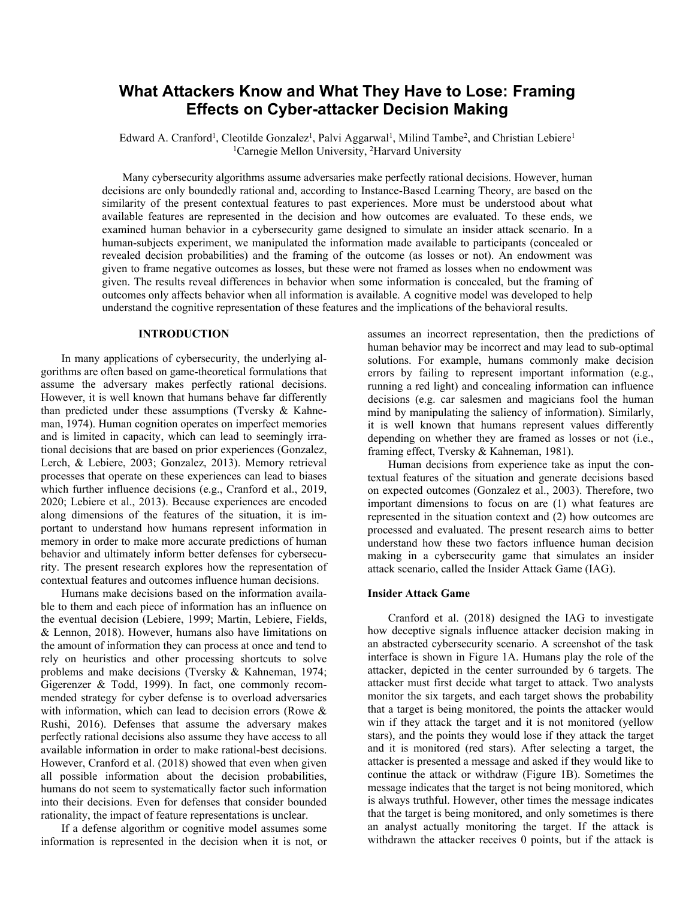# **What Attackers Know and What They Have to Lose: Framing Effects on Cyber-attacker Decision Making**

Edward A. Cranford<sup>1</sup>, Cleotilde Gonzalez<sup>1</sup>, Palvi Aggarwal<sup>1</sup>, Milind Tambe<sup>2</sup>, and Christian Lebiere<sup>1</sup> <sup>1</sup>Carnegie Mellon University, <sup>2</sup>Harvard University

Many cybersecurity algorithms assume adversaries make perfectly rational decisions. However, human decisions are only boundedly rational and, according to Instance-Based Learning Theory, are based on the similarity of the present contextual features to past experiences. More must be understood about what available features are represented in the decision and how outcomes are evaluated. To these ends, we examined human behavior in a cybersecurity game designed to simulate an insider attack scenario. In a human-subjects experiment, we manipulated the information made available to participants (concealed or revealed decision probabilities) and the framing of the outcome (as losses or not). An endowment was given to frame negative outcomes as losses, but these were not framed as losses when no endowment was given. The results reveal differences in behavior when some information is concealed, but the framing of outcomes only affects behavior when all information is available. A cognitive model was developed to help understand the cognitive representation of these features and the implications of the behavioral results.

### **INTRODUCTION**

In many applications of cybersecurity, the underlying algorithms are often based on game-theoretical formulations that assume the adversary makes perfectly rational decisions. However, it is well known that humans behave far differently than predicted under these assumptions (Tversky & Kahneman, 1974). Human cognition operates on imperfect memories and is limited in capacity, which can lead to seemingly irrational decisions that are based on prior experiences (Gonzalez, Lerch, & Lebiere, 2003; Gonzalez, 2013). Memory retrieval processes that operate on these experiences can lead to biases which further influence decisions (e.g., Cranford et al., 2019, 2020; Lebiere et al., 2013). Because experiences are encoded along dimensions of the features of the situation, it is important to understand how humans represent information in memory in order to make more accurate predictions of human behavior and ultimately inform better defenses for cybersecurity. The present research explores how the representation of contextual features and outcomes influence human decisions.

Humans make decisions based on the information available to them and each piece of information has an influence on the eventual decision (Lebiere, 1999; Martin, Lebiere, Fields, & Lennon, 2018). However, humans also have limitations on the amount of information they can process at once and tend to rely on heuristics and other processing shortcuts to solve problems and make decisions (Tversky & Kahneman, 1974; Gigerenzer & Todd, 1999). In fact, one commonly recommended strategy for cyber defense is to overload adversaries with information, which can lead to decision errors (Rowe & Rushi, 2016). Defenses that assume the adversary makes perfectly rational decisions also assume they have access to all available information in order to make rational-best decisions. However, Cranford et al. (2018) showed that even when given all possible information about the decision probabilities, humans do not seem to systematically factor such information into their decisions. Even for defenses that consider bounded rationality, the impact of feature representations is unclear.

If a defense algorithm or cognitive model assumes some information is represented in the decision when it is not, or assumes an incorrect representation, then the predictions of human behavior may be incorrect and may lead to sub-optimal solutions. For example, humans commonly make decision errors by failing to represent important information (e.g., running a red light) and concealing information can influence decisions (e.g. car salesmen and magicians fool the human mind by manipulating the saliency of information). Similarly, it is well known that humans represent values differently depending on whether they are framed as losses or not (i.e., framing effect, Tversky & Kahneman, 1981).

Human decisions from experience take as input the contextual features of the situation and generate decisions based on expected outcomes (Gonzalez et al., 2003). Therefore, two important dimensions to focus on are (1) what features are represented in the situation context and (2) how outcomes are processed and evaluated. The present research aims to better understand how these two factors influence human decision making in a cybersecurity game that simulates an insider attack scenario, called the Insider Attack Game (IAG).

#### **Insider Attack Game**

Cranford et al. (2018) designed the IAG to investigate how deceptive signals influence attacker decision making in an abstracted cybersecurity scenario. A screenshot of the task interface is shown in Figure 1A. Humans play the role of the attacker, depicted in the center surrounded by 6 targets. The attacker must first decide what target to attack. Two analysts monitor the six targets, and each target shows the probability that a target is being monitored, the points the attacker would win if they attack the target and it is not monitored (yellow stars), and the points they would lose if they attack the target and it is monitored (red stars). After selecting a target, the attacker is presented a message and asked if they would like to continue the attack or withdraw (Figure 1B). Sometimes the message indicates that the target is not being monitored, which is always truthful. However, other times the message indicates that the target is being monitored, and only sometimes is there an analyst actually monitoring the target. If the attack is withdrawn the attacker receives 0 points, but if the attack is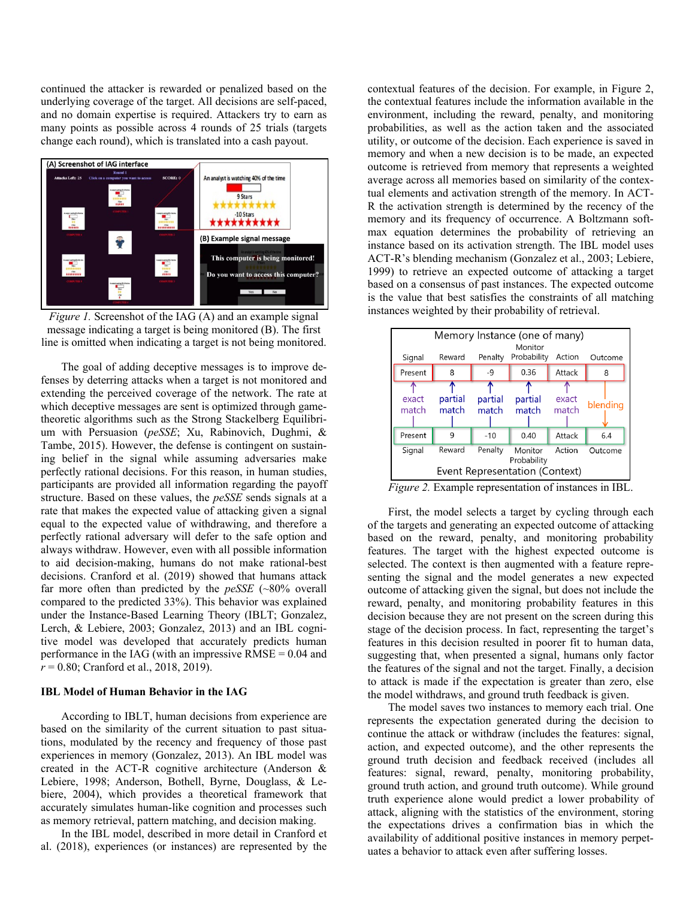continued the attacker is rewarded or penalized based on the underlying coverage of the target. All decisions are self-paced, and no domain expertise is required. Attackers try to earn as many points as possible across 4 rounds of 25 trials (targets change each round), which is translated into a cash payout.



*Figure 1.* Screenshot of the IAG (A) and an example signal message indicating a target is being monitored (B). The first line is omitted when indicating a target is not being monitored.

The goal of adding deceptive messages is to improve defenses by deterring attacks when a target is not monitored and extending the perceived coverage of the network. The rate at which deceptive messages are sent is optimized through gametheoretic algorithms such as the Strong Stackelberg Equilibrium with Persuasion (*peSSE*; Xu, Rabinovich, Dughmi, & Tambe, 2015). However, the defense is contingent on sustaining belief in the signal while assuming adversaries make perfectly rational decisions. For this reason, in human studies, participants are provided all information regarding the payoff structure. Based on these values, the *peSSE* sends signals at a rate that makes the expected value of attacking given a signal equal to the expected value of withdrawing, and therefore a perfectly rational adversary will defer to the safe option and always withdraw. However, even with all possible information to aid decision-making, humans do not make rational-best decisions. Cranford et al. (2019) showed that humans attack far more often than predicted by the *peSSE* (~80% overall compared to the predicted 33%). This behavior was explained under the Instance-Based Learning Theory (IBLT; Gonzalez, Lerch, & Lebiere, 2003; Gonzalez, 2013) and an IBL cognitive model was developed that accurately predicts human performance in the IAG (with an impressive  $RMSE = 0.04$  and *r* = 0.80; Cranford et al., 2018, 2019).

#### **IBL Model of Human Behavior in the IAG**

According to IBLT, human decisions from experience are based on the similarity of the current situation to past situations, modulated by the recency and frequency of those past experiences in memory (Gonzalez, 2013). An IBL model was created in the ACT-R cognitive architecture (Anderson & Lebiere, 1998; Anderson, Bothell, Byrne, Douglass, & Lebiere, 2004), which provides a theoretical framework that accurately simulates human-like cognition and processes such as memory retrieval, pattern matching, and decision making.

In the IBL model, described in more detail in Cranford et al. (2018), experiences (or instances) are represented by the contextual features of the decision. For example, in Figure 2, the contextual features include the information available in the environment, including the reward, penalty, and monitoring probabilities, as well as the action taken and the associated utility, or outcome of the decision. Each experience is saved in memory and when a new decision is to be made, an expected outcome is retrieved from memory that represents a weighted average across all memories based on similarity of the contextual elements and activation strength of the memory. In ACT-R the activation strength is determined by the recency of the memory and its frequency of occurrence. A Boltzmann softmax equation determines the probability of retrieving an instance based on its activation strength. The IBL model uses ACT-R's blending mechanism (Gonzalez et al., 2003; Lebiere, 1999) to retrieve an expected outcome of attacking a target based on a consensus of past instances. The expected outcome is the value that best satisfies the constraints of all matching instances weighted by their probability of retrieval.

| Memory Instance (one of many)<br>Monitor |                  |                  |                        |                |          |
|------------------------------------------|------------------|------------------|------------------------|----------------|----------|
| Signal                                   | Reward           | Penalty          | Probability            | Action         | Outcome  |
| Present                                  | 8                | $-9$             | 0.36                   | Attack         | 8        |
| exact<br>match                           | partial<br>match | partial<br>match | partial<br>match       | exact<br>match | blending |
| Present                                  | 9                | $-10$            | 0.40                   | Attack         | 6.4      |
| Signal                                   | Reward           | Penalty          | Monitor<br>Probability | Action         | Outcome  |
| Event Representation (Context)           |                  |                  |                        |                |          |

*Figure 2.* Example representation of instances in IBL.

First, the model selects a target by cycling through each of the targets and generating an expected outcome of attacking based on the reward, penalty, and monitoring probability features. The target with the highest expected outcome is selected. The context is then augmented with a feature representing the signal and the model generates a new expected outcome of attacking given the signal, but does not include the reward, penalty, and monitoring probability features in this decision because they are not present on the screen during this stage of the decision process. In fact, representing the target's features in this decision resulted in poorer fit to human data, suggesting that, when presented a signal, humans only factor the features of the signal and not the target. Finally, a decision to attack is made if the expectation is greater than zero, else the model withdraws, and ground truth feedback is given.

The model saves two instances to memory each trial. One represents the expectation generated during the decision to continue the attack or withdraw (includes the features: signal, action, and expected outcome), and the other represents the ground truth decision and feedback received (includes all features: signal, reward, penalty, monitoring probability, ground truth action, and ground truth outcome). While ground truth experience alone would predict a lower probability of attack, aligning with the statistics of the environment, storing the expectations drives a confirmation bias in which the availability of additional positive instances in memory perpetuates a behavior to attack even after suffering losses.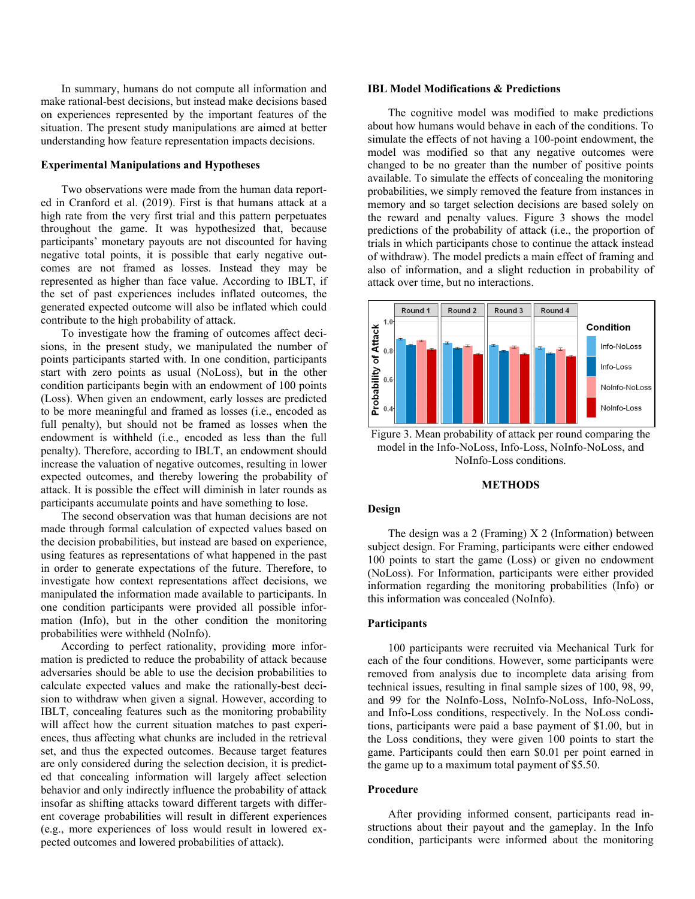In summary, humans do not compute all information and make rational-best decisions, but instead make decisions based on experiences represented by the important features of the situation. The present study manipulations are aimed at better understanding how feature representation impacts decisions.

## **Experimental Manipulations and Hypotheses**

Two observations were made from the human data reported in Cranford et al. (2019). First is that humans attack at a high rate from the very first trial and this pattern perpetuates throughout the game. It was hypothesized that, because participants' monetary payouts are not discounted for having negative total points, it is possible that early negative outcomes are not framed as losses. Instead they may be represented as higher than face value. According to IBLT, if the set of past experiences includes inflated outcomes, the generated expected outcome will also be inflated which could contribute to the high probability of attack.

To investigate how the framing of outcomes affect decisions, in the present study, we manipulated the number of points participants started with. In one condition, participants start with zero points as usual (NoLoss), but in the other condition participants begin with an endowment of 100 points (Loss). When given an endowment, early losses are predicted to be more meaningful and framed as losses (i.e., encoded as full penalty), but should not be framed as losses when the endowment is withheld (i.e., encoded as less than the full penalty). Therefore, according to IBLT, an endowment should increase the valuation of negative outcomes, resulting in lower expected outcomes, and thereby lowering the probability of attack. It is possible the effect will diminish in later rounds as participants accumulate points and have something to lose.

The second observation was that human decisions are not made through formal calculation of expected values based on the decision probabilities, but instead are based on experience, using features as representations of what happened in the past in order to generate expectations of the future. Therefore, to investigate how context representations affect decisions, we manipulated the information made available to participants. In one condition participants were provided all possible information (Info), but in the other condition the monitoring probabilities were withheld (NoInfo).

According to perfect rationality, providing more information is predicted to reduce the probability of attack because adversaries should be able to use the decision probabilities to calculate expected values and make the rationally-best decision to withdraw when given a signal. However, according to IBLT, concealing features such as the monitoring probability will affect how the current situation matches to past experiences, thus affecting what chunks are included in the retrieval set, and thus the expected outcomes. Because target features are only considered during the selection decision, it is predicted that concealing information will largely affect selection behavior and only indirectly influence the probability of attack insofar as shifting attacks toward different targets with different coverage probabilities will result in different experiences (e.g., more experiences of loss would result in lowered expected outcomes and lowered probabilities of attack).

# **IBL Model Modifications & Predictions**

The cognitive model was modified to make predictions about how humans would behave in each of the conditions. To simulate the effects of not having a 100-point endowment, the model was modified so that any negative outcomes were changed to be no greater than the number of positive points available. To simulate the effects of concealing the monitoring probabilities, we simply removed the feature from instances in memory and so target selection decisions are based solely on the reward and penalty values. Figure 3 shows the model predictions of the probability of attack (i.e., the proportion of trials in which participants chose to continue the attack instead of withdraw). The model predicts a main effect of framing and also of information, and a slight reduction in probability of attack over time, but no interactions.



Figure 3. Mean probability of attack per round comparing the model in the Info-NoLoss, Info-Loss, NoInfo-NoLoss, and NoInfo-Loss conditions.

#### **METHODS**

#### **Design**

The design was a 2 (Framing) X 2 (Information) between subject design. For Framing, participants were either endowed 100 points to start the game (Loss) or given no endowment (NoLoss). For Information, participants were either provided information regarding the monitoring probabilities (Info) or this information was concealed (NoInfo).

# **Participants**

100 participants were recruited via Mechanical Turk for each of the four conditions. However, some participants were removed from analysis due to incomplete data arising from technical issues, resulting in final sample sizes of 100, 98, 99, and 99 for the NoInfo-Loss, NoInfo-NoLoss, Info-NoLoss, and Info-Loss conditions, respectively. In the NoLoss conditions, participants were paid a base payment of \$1.00, but in the Loss conditions, they were given 100 points to start the game. Participants could then earn \$0.01 per point earned in the game up to a maximum total payment of \$5.50.

#### **Procedure**

After providing informed consent, participants read instructions about their payout and the gameplay. In the Info condition, participants were informed about the monitoring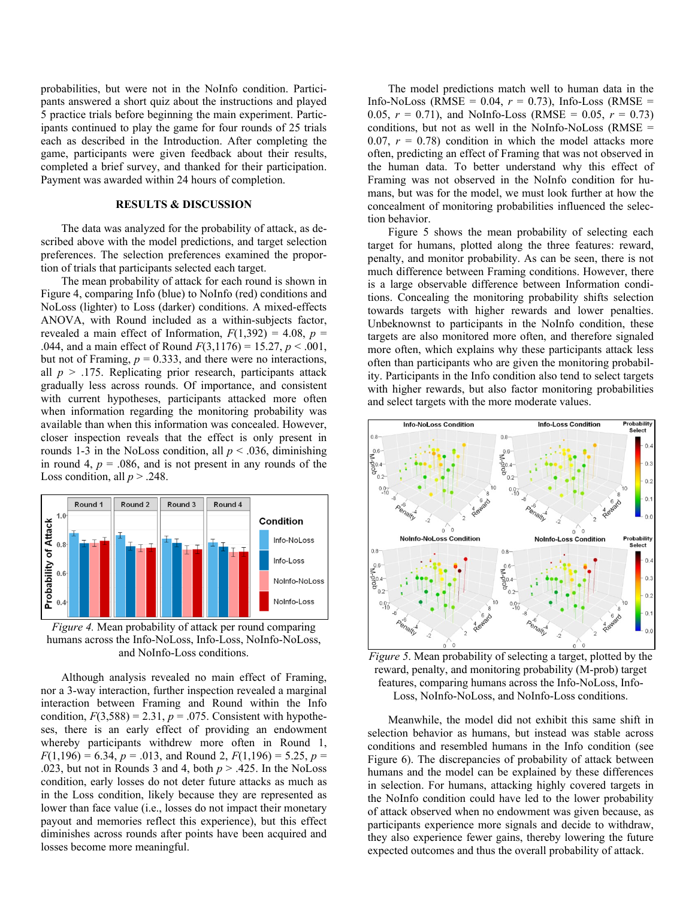probabilities, but were not in the NoInfo condition. Participants answered a short quiz about the instructions and played 5 practice trials before beginning the main experiment. Participants continued to play the game for four rounds of 25 trials each as described in the Introduction. After completing the game, participants were given feedback about their results, completed a brief survey, and thanked for their participation. Payment was awarded within 24 hours of completion.

## **RESULTS & DISCUSSION**

The data was analyzed for the probability of attack, as described above with the model predictions, and target selection preferences. The selection preferences examined the proportion of trials that participants selected each target.

The mean probability of attack for each round is shown in Figure 4, comparing Info (blue) to NoInfo (red) conditions and NoLoss (lighter) to Loss (darker) conditions. A mixed-effects ANOVA, with Round included as a within-subjects factor, revealed a main effect of Information,  $F(1,392) = 4.08$ ,  $p =$ .044, and a main effect of Round *F*(3,1176) = 15.27, *p* < .001, but not of Framing,  $p = 0.333$ , and there were no interactions, all  $p > 0.175$ . Replicating prior research, participants attack gradually less across rounds. Of importance, and consistent with current hypotheses, participants attacked more often when information regarding the monitoring probability was available than when this information was concealed. However, closer inspection reveals that the effect is only present in rounds 1-3 in the NoLoss condition, all  $p < .036$ , diminishing in round 4,  $p = .086$ , and is not present in any rounds of the Loss condition, all  $p > .248$ .



*Figure 4.* Mean probability of attack per round comparing humans across the Info-NoLoss, Info-Loss, NoInfo-NoLoss, and NoInfo-Loss conditions.

Although analysis revealed no main effect of Framing, nor a 3-way interaction, further inspection revealed a marginal interaction between Framing and Round within the Info condition,  $F(3,588) = 2.31$ ,  $p = .075$ . Consistent with hypotheses, there is an early effect of providing an endowment whereby participants withdrew more often in Round 1,  $F(1,196) = 6.34, p = .013$ , and Round 2,  $F(1,196) = 5.25, p =$ .023, but not in Rounds 3 and 4, both *p* > .425. In the NoLoss condition, early losses do not deter future attacks as much as in the Loss condition, likely because they are represented as lower than face value (i.e., losses do not impact their monetary payout and memories reflect this experience), but this effect diminishes across rounds after points have been acquired and losses become more meaningful.

The model predictions match well to human data in the Info-NoLoss (RMSE =  $0.04$ ,  $r = 0.73$ ), Info-Loss (RMSE = 0.05,  $r = 0.71$ ), and NoInfo-Loss (RMSE = 0.05,  $r = 0.73$ ) conditions, but not as well in the NoInfo-NoLoss  $(RMSE =$ 0.07,  $r = 0.78$  condition in which the model attacks more often, predicting an effect of Framing that was not observed in the human data. To better understand why this effect of Framing was not observed in the NoInfo condition for humans, but was for the model, we must look further at how the concealment of monitoring probabilities influenced the selection behavior.

Figure 5 shows the mean probability of selecting each target for humans, plotted along the three features: reward, penalty, and monitor probability. As can be seen, there is not much difference between Framing conditions. However, there is a large observable difference between Information conditions. Concealing the monitoring probability shifts selection towards targets with higher rewards and lower penalties. Unbeknownst to participants in the NoInfo condition, these targets are also monitored more often, and therefore signaled more often, which explains why these participants attack less often than participants who are given the monitoring probability. Participants in the Info condition also tend to select targets with higher rewards, but also factor monitoring probabilities and select targets with the more moderate values.



*Figure 5*. Mean probability of selecting a target, plotted by the reward, penalty, and monitoring probability (M-prob) target features, comparing humans across the Info-NoLoss, Info-Loss, NoInfo-NoLoss, and NoInfo-Loss conditions.

Meanwhile, the model did not exhibit this same shift in selection behavior as humans, but instead was stable across conditions and resembled humans in the Info condition (see Figure 6). The discrepancies of probability of attack between humans and the model can be explained by these differences in selection. For humans, attacking highly covered targets in the NoInfo condition could have led to the lower probability of attack observed when no endowment was given because, as participants experience more signals and decide to withdraw, they also experience fewer gains, thereby lowering the future expected outcomes and thus the overall probability of attack.